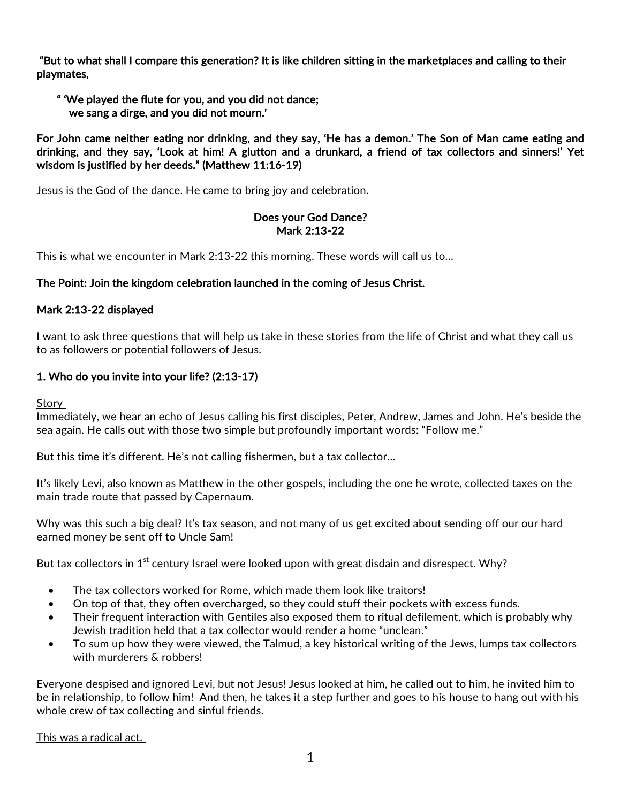"But to what shall I compare this generation? It is like children sitting in the marketplaces and calling to their playmates,

 " 'We played the flute for you, and you did not dance; we sang a dirge, and you did not mourn.'

For John came neither eating nor drinking, and they say, 'He has a demon.' The Son of Man came eating and drinking, and they say, 'Look at him! A glutton and a drunkard, a friend of tax collectors and sinners!' Yet wisdom is justified by her deeds." (Matthew 11:16-19)

Jesus is the God of the dance. He came to bring joy and celebration.

## Does your God Dance? Mark 2:13-22

This is what we encounter in Mark 2:13-22 this morning. These words will call us to…

# The Point: Join the kingdom celebration launched in the coming of Jesus Christ.

## Mark 2:13-22 displayed

I want to ask three questions that will help us take in these stories from the life of Christ and what they call us to as followers or potential followers of Jesus.

# 1. Who do you invite into your life? (2:13-17)

Story

Immediately, we hear an echo of Jesus calling his first disciples, Peter, Andrew, James and John. He's beside the sea again. He calls out with those two simple but profoundly important words: "Follow me."

But this time it's different. He's not calling fishermen, but a tax collector…

It's likely Levi, also known as Matthew in the other gospels, including the one he wrote, collected taxes on the main trade route that passed by Capernaum.

Why was this such a big deal? It's tax season, and not many of us get excited about sending off our our hard earned money be sent off to Uncle Sam!

But tax collectors in  $1<sup>st</sup>$  century Israel were looked upon with great disdain and disrespect. Why?

- The tax collectors worked for Rome, which made them look like traitors!
- On top of that, they often overcharged, so they could stuff their pockets with excess funds.
- Their frequent interaction with Gentiles also exposed them to ritual defilement, which is probably why Jewish tradition held that a tax collector would render a home "unclean."
- To sum up how they were viewed, the Talmud, a key historical writing of the Jews, lumps tax collectors with murderers & robbers!

Everyone despised and ignored Levi, but not Jesus! Jesus looked at him, he called out to him, he invited him to be in relationship, to follow him! And then, he takes it a step further and goes to his house to hang out with his whole crew of tax collecting and sinful friends.

This was a radical act.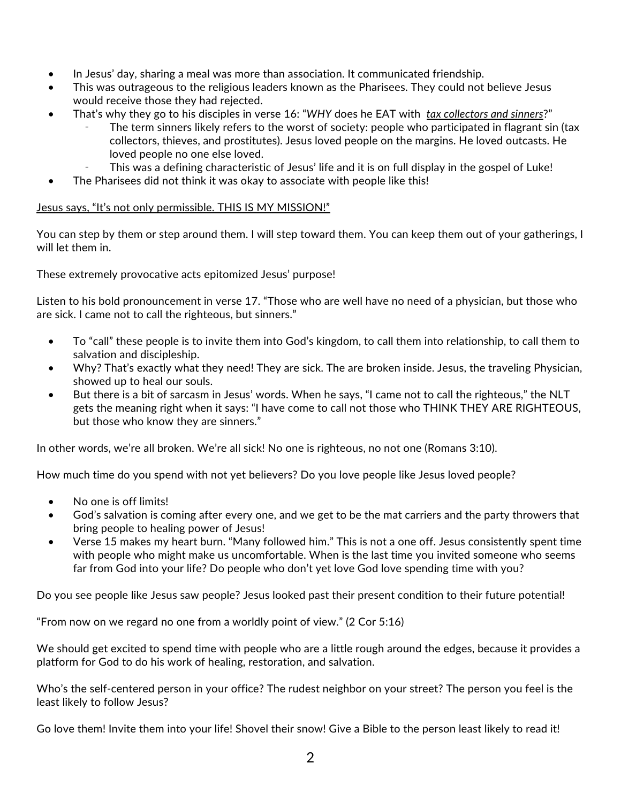- In Jesus' day, sharing a meal was more than association. It communicated friendship.
- This was outrageous to the religious leaders known as the Pharisees. They could not believe Jesus would receive those they had rejected.
- That's why they go to his disciples in verse 16: "*WHY* does he EAT with *tax collectors and sinners*?"
	- The term sinners likely refers to the worst of society: people who participated in flagrant sin (tax collectors, thieves, and prostitutes). Jesus loved people on the margins. He loved outcasts. He loved people no one else loved.
	- This was a defining characteristic of Jesus' life and it is on full display in the gospel of Luke!
- The Pharisees did not think it was okay to associate with people like this!

#### Jesus says, "It's not only permissible. THIS IS MY MISSION!"

You can step by them or step around them. I will step toward them. You can keep them out of your gatherings, I will let them in.

These extremely provocative acts epitomized Jesus' purpose!

Listen to his bold pronouncement in verse 17. "Those who are well have no need of a physician, but those who are sick. I came not to call the righteous, but sinners."

- To "call" these people is to invite them into God's kingdom, to call them into relationship, to call them to salvation and discipleship.
- Why? That's exactly what they need! They are sick. The are broken inside. Jesus, the traveling Physician, showed up to heal our souls.
- But there is a bit of sarcasm in Jesus' words. When he says, "I came not to call the righteous," the NLT gets the meaning right when it says: "I have come to call not those who THINK THEY ARE RIGHTEOUS, but those who know they are sinners."

In other words, we're all broken. We're all sick! No one is righteous, no not one (Romans 3:10).

How much time do you spend with not yet believers? Do you love people like Jesus loved people?

- No one is off limits!
- God's salvation is coming after every one, and we get to be the mat carriers and the party throwers that bring people to healing power of Jesus!
- Verse 15 makes my heart burn. "Many followed him." This is not a one off. Jesus consistently spent time with people who might make us uncomfortable. When is the last time you invited someone who seems far from God into your life? Do people who don't yet love God love spending time with you?

Do you see people like Jesus saw people? Jesus looked past their present condition to their future potential!

"From now on we regard no one from a worldly point of view." (2 Cor 5:16)

We should get excited to spend time with people who are a little rough around the edges, because it provides a platform for God to do his work of healing, restoration, and salvation.

Who's the self-centered person in your office? The rudest neighbor on your street? The person you feel is the least likely to follow Jesus?

Go love them! Invite them into your life! Shovel their snow! Give a Bible to the person least likely to read it!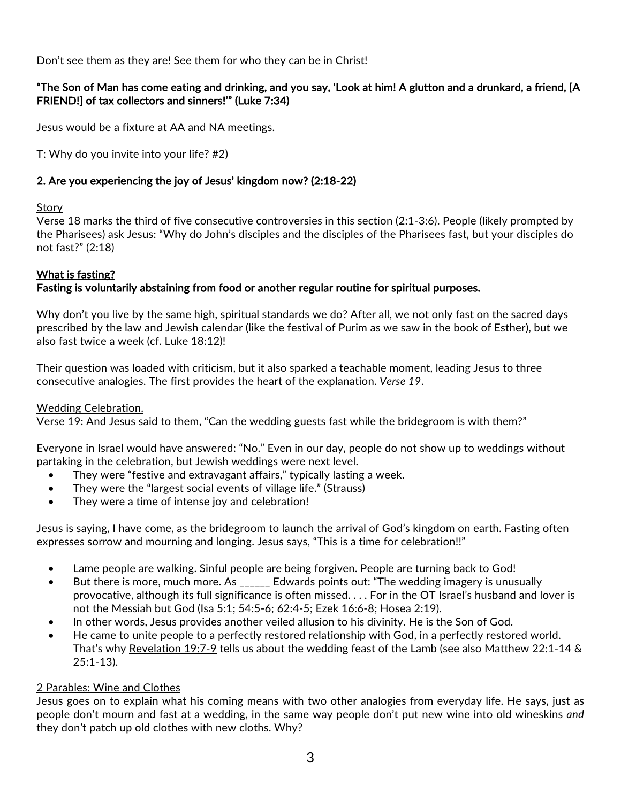Don't see them as they are! See them for who they can be in Christ!

## "The Son of Man has come eating and drinking, and you say, 'Look at him! A glutton and a drunkard, a friend, [A FRIEND!] of tax collectors and sinners!'" (Luke 7:34)

Jesus would be a fixture at AA and NA meetings.

T: Why do you invite into your life? #2)

#### 2. Are you experiencing the joy of Jesus' kingdom now? (2:18-22)

#### **Story**

Verse 18 marks the third of five consecutive controversies in this section (2:1-3:6). People (likely prompted by the Pharisees) ask Jesus: "Why do John's disciples and the disciples of the Pharisees fast, but your disciples do not fast?" (2:18)

## What is fasting?

## Fasting is voluntarily abstaining from food or another regular routine for spiritual purposes.

Why don't you live by the same high, spiritual standards we do? After all, we not only fast on the sacred days prescribed by the law and Jewish calendar (like the festival of Purim as we saw in the book of Esther), but we also fast twice a week (cf. Luke 18:12)!

Their question was loaded with criticism, but it also sparked a teachable moment, leading Jesus to three consecutive analogies. The first provides the heart of the explanation. *Verse 19*.

#### Wedding Celebration.

Verse 19: And Jesus said to them, "Can the wedding guests fast while the bridegroom is with them?"

Everyone in Israel would have answered: "No." Even in our day, people do not show up to weddings without partaking in the celebration, but Jewish weddings were next level.

- They were "festive and extravagant affairs," typically lasting a week.
- They were the "largest social events of village life." (Strauss)
- They were a time of intense joy and celebration!

Jesus is saying, I have come, as the bridegroom to launch the arrival of God's kingdom on earth. Fasting often expresses sorrow and mourning and longing. Jesus says, "This is a time for celebration!!"

- Lame people are walking. Sinful people are being forgiven. People are turning back to God!
- But there is more, much more. As \_\_\_\_\_\_ Edwards points out: "The wedding imagery is unusually provocative, although its full significance is often missed. . . . For in the OT Israel's husband and lover is not the Messiah but God (Isa 5:1; 54:5-6; 62:4-5; Ezek 16:6-8; Hosea 2:19).
- In other words, Jesus provides another veiled allusion to his divinity. He is the Son of God.
- He came to unite people to a perfectly restored relationship with God, in a perfectly restored world. That's why Revelation 19:7-9 tells us about the wedding feast of the Lamb (see also Matthew 22:1-14 & 25:1-13).

## 2 Parables: Wine and Clothes

Jesus goes on to explain what his coming means with two other analogies from everyday life. He says, just as people don't mourn and fast at a wedding, in the same way people don't put new wine into old wineskins *and* they don't patch up old clothes with new cloths. Why?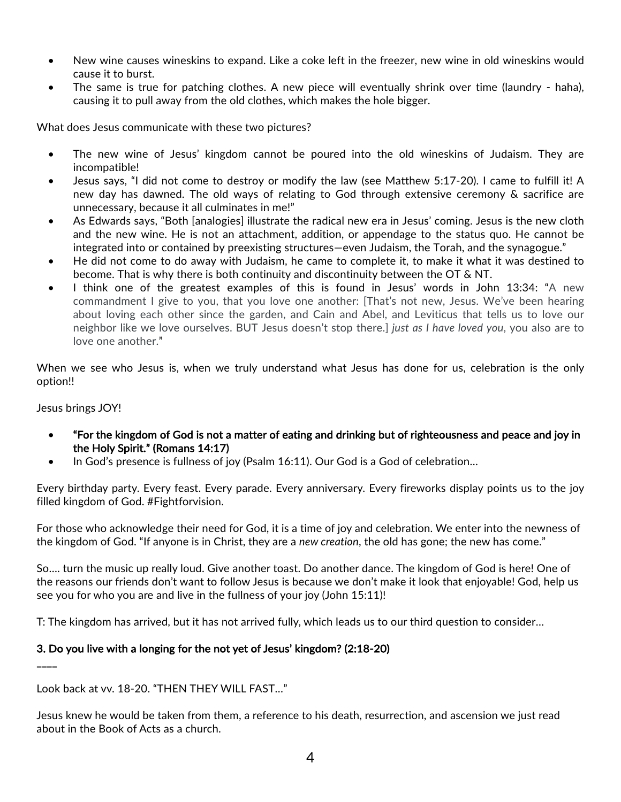- New wine causes wineskins to expand. Like a coke left in the freezer, new wine in old wineskins would cause it to burst.
- The same is true for patching clothes. A new piece will eventually shrink over time (laundry haha), causing it to pull away from the old clothes, which makes the hole bigger.

What does Jesus communicate with these two pictures?

- The new wine of Jesus' kingdom cannot be poured into the old wineskins of Judaism. They are incompatible!
- Jesus says, "I did not come to destroy or modify the law (see Matthew 5:17-20). I came to fulfill it! A new day has dawned. The old ways of relating to God through extensive ceremony & sacrifice are unnecessary, because it all culminates in me!"
- As Edwards says, "Both [analogies] illustrate the radical new era in Jesus' coming. Jesus is the new cloth and the new wine. He is not an attachment, addition, or appendage to the status quo. He cannot be integrated into or contained by preexisting structures—even Judaism, the Torah, and the synagogue."
- He did not come to do away with Judaism, he came to complete it, to make it what it was destined to become. That is why there is both continuity and discontinuity between the OT & NT.
- I think one of the greatest examples of this is found in Jesus' words in John 13:34: "A new commandment I give to you, that you love one another: [That's not new, Jesus. We've been hearing about loving each other since the garden, and Cain and Abel, and Leviticus that tells us to love our neighbor like we love ourselves. BUT Jesus doesn't stop there.] *just as I have loved you*, you also are to love one another."

When we see who Jesus is, when we truly understand what Jesus has done for us, celebration is the only option!!

Jesus brings JOY!

\_\_\_\_

- "For the kingdom of God is not a matter of eating and drinking but of righteousness and peace and joy in the Holy Spirit." (Romans 14:17)
- In God's presence is fullness of joy (Psalm 16:11). Our God is a God of celebration…

Every birthday party. Every feast. Every parade. Every anniversary. Every fireworks display points us to the joy filled kingdom of God. #Fightforvision.

For those who acknowledge their need for God, it is a time of joy and celebration. We enter into the newness of the kingdom of God. "If anyone is in Christ, they are a *new creation*, the old has gone; the new has come."

So…. turn the music up really loud. Give another toast. Do another dance. The kingdom of God is here! One of the reasons our friends don't want to follow Jesus is because we don't make it look that enjoyable! God, help us see you for who you are and live in the fullness of your joy (John 15:11)!

T: The kingdom has arrived, but it has not arrived fully, which leads us to our third question to consider…

## 3. Do you live with a longing for the not yet of Jesus' kingdom? (2:18-20)

Look back at vv. 18-20. "THEN THEY WILL FAST…"

Jesus knew he would be taken from them, a reference to his death, resurrection, and ascension we just read about in the Book of Acts as a church.